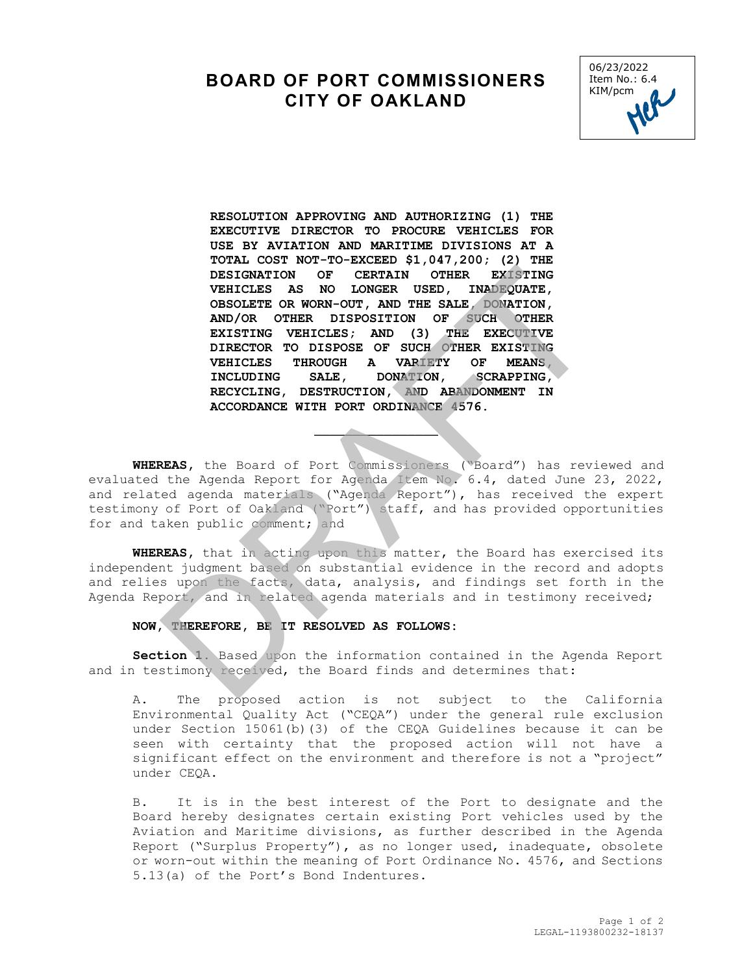## **BOARD OF PORT COMMISSIONERS CITY OF OAKLAND**



**RESOLUTION APPROVING AND AUTHORIZING (1) THE EXECUTIVE DIRECTOR TO PROCURE VEHICLES FOR USE BY AVIATION AND MARITIME DIVISIONS AT A TOTAL COST NOT-TO-EXCEED \$1,047,200; (2) THE DESIGNATION OF CERTAIN OTHER VEHICLES AS NO LONGER USED, INADEQUATE, OBSOLETE OR WORN-OUT, AND THE SALE, DONATION, AND/OR OTHER DISPOSITION OF SUCH OTHER EXISTING VEHICLES; AND (3) THE EXECUTIVE DIRECTOR TO DISPOSE OF SUCH OTHER EXISTING VEHICLES THROUGH A VARIETY<br>INCLUDING SALE, DONATION, ISCRAPPING, RECYCLING, DESTRUCTION, AND ABANDONMENT IN ACCORDANCE WITH PORT ORDINANCE 4576.** DESIGNATION OF CERTAIN OTHER EXISTING<br>
VEHICLES AS NO LONGER USED, INDEPIGATE,<br>
OBSOLETE OR WONN-OUT, AND THE SALE, DONATION,<br>
AND/OR OTHER DISPOSITION OF SUCH OTHER<br>
EXISTING VEHICLES; NON (3) THE EXECUTIVE<br>
DIRECTOR TO D

**WHEREAS,** the Board of Port Commissioners ("Board") has reviewed and evaluated the Agenda Report for Agenda Item No. 6.4, dated June 23, 2022, and related agenda materials ("Agenda Report"), has received the expert testimony of Port of Oakland ("Port") staff, and has provided opportunities for and taken public comment; and

 $\overline{\phantom{a}}$ 

**WHEREAS,** that in acting upon this matter, the Board has exercised its independent judgment based on substantial evidence in the record and adopts and relies upon the facts, data, analysis, and findings set forth in the Agenda Report, and in related agenda materials and in testimony received;

## **NOW, THEREFORE, BE IT RESOLVED AS FOLLOWS:**

**Section 1.** Based upon the information contained in the Agenda Report and in testimony received, the Board finds and determines that:

A. The proposed action is not subject to the California Environmental Quality Act ("CEQA") under the general rule exclusion under Section 15061(b)(3) of the CEQA Guidelines because it can be seen with certainty that the proposed action will not have a significant effect on the environment and therefore is not a "project" under CEQA.

B. It is in the best interest of the Port to designate and the Board hereby designates certain existing Port vehicles used by the Aviation and Maritime divisions, as further described in the Agenda Report ("Surplus Property"), as no longer used, inadequate, obsolete or worn-out within the meaning of Port Ordinance No. 4576, and Sections 5.13(a) of the Port's Bond Indentures.